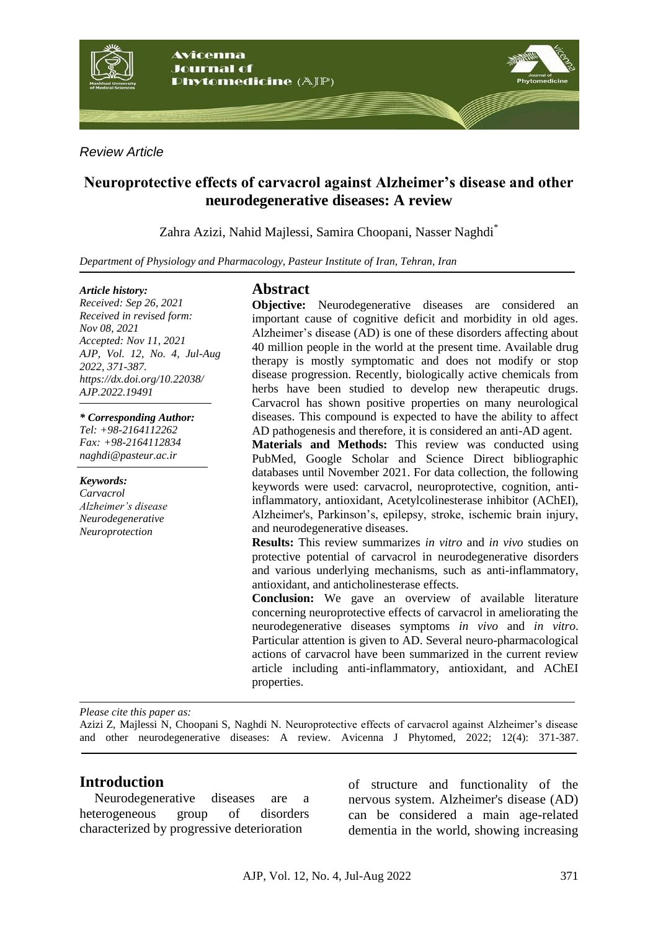

*Review Article*

# **Neuroprotective effects of carvacrol against Alzheimer's disease and other neurodegenerative diseases: A review**

Zahra Azizi, Nahid Majlessi, Samira Choopani, Nasser Naghdi\*

*Department of Physiology and Pharmacology, Pasteur Institute of Iran, Tehran, Iran*

#### *Article history:*

*Received: Sep 26, 2021 Received in revised form: Nov 08, 2021 Accepted: Nov 11, 2021 AJP, Vol. 12, No. 4, Jul-Aug 2022, 371-387. https://dx.doi.org/10.22038/ AJP.2022.19491*

*\* Corresponding Author: Tel: +98-2164112262*

*Fax: +98-2164112834 naghdi@pasteur.ac.ir*

#### *Keywords:*

*Carvacrol Alzheimer's disease Neurodegenerative Neuroprotection*

## **Abstract**

**Objective:** Neurodegenerative diseases are considered an important cause of cognitive deficit and morbidity in old ages. Alzheimer's disease (AD) is one of these disorders affecting about 40 million people in the world at the present time. Available drug therapy is mostly symptomatic and does not modify or stop disease progression. Recently, biologically active chemicals from herbs have been studied to develop new therapeutic drugs. Carvacrol has shown positive properties on many neurological diseases. This compound is expected to have the ability to affect AD pathogenesis and therefore, it is considered an anti-AD agent.

**Materials and Methods:** This review was conducted using PubMed, Google Scholar and Science Direct bibliographic databases until November 2021. For data collection, the following keywords were used: carvacrol, neuroprotective, cognition, antiinflammatory, antioxidant, Acetylcolinesterase inhibitor (AChEI), Alzheimer's, Parkinson's, epilepsy, stroke, ischemic brain injury, and neurodegenerative diseases.

**Results:** This review summarizes *in vitro* and *in vivo* studies on protective potential of carvacrol in neurodegenerative disorders and various underlying mechanisms, such as anti-inflammatory, antioxidant, and anticholinesterase effects.

**Conclusion:** We gave an overview of available literature concerning neuroprotective effects of carvacrol in ameliorating the neurodegenerative diseases symptoms *in vivo* and *in vitro*. Particular attention is given to AD. Several neuro-pharmacological actions of carvacrol have been summarized in the current review article including anti-inflammatory, antioxidant, and AChEI properties.

*Please cite this paper as:* 

Azizi Z, Majlessi N, Choopani S, Naghdi N. Neuroprotective effects of carvacrol against Alzheimer's disease and other neurodegenerative diseases: A review. Avicenna J Phytomed, 2022; 12(4): 371-387.

### **Introduction**

Neurodegenerative diseases are a heterogeneous group of disorders characterized by progressive deterioration

of structure and functionality of the nervous system. Alzheimer's disease (AD) can be considered a main age-related dementia in the world, showing increasing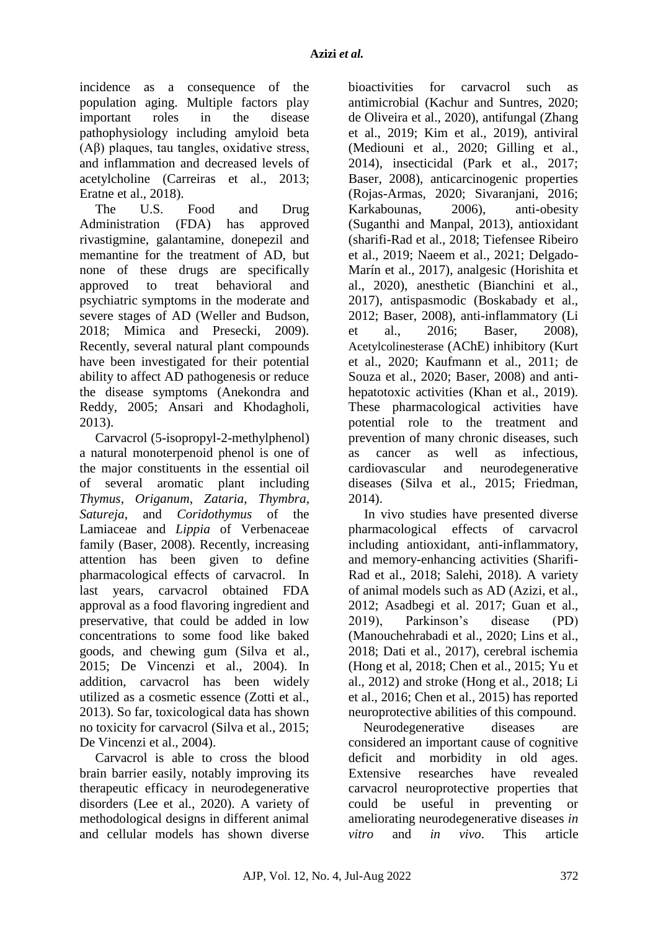incidence as a consequence of the population aging. Multiple factors play important roles in the disease pathophysiology including amyloid beta (Aβ) plaques, tau tangles, oxidative stress, and inflammation and decreased levels of acetylcholine (Carreiras et al., 2013; Eratne et al., 2018).

The U.S. Food and Drug Administration (FDA) has approved rivastigmine, galantamine, donepezil and memantine for the treatment of AD, but none of these drugs are specifically approved to treat behavioral and psychiatric symptoms in the moderate and severe stages of AD (Weller and Budson, 2018; Mimica and Presecki, 2009). Recently, several natural plant compounds have been investigated for their potential ability to affect AD pathogenesis or reduce the disease symptoms (Anekondra and Reddy, 2005; Ansari and Khodagholi, 2013).

Carvacrol (5-isopropyl-2-methylphenol) a natural monoterpenoid phenol is one of the major constituents in the essential oil of several aromatic plant including *Thymus, Origanum*, *Zataria*, *Thymbra*, *Satureja*, and *Coridothymus* of the Lamiaceae and *Lippia* of Verbenaceae family (Baser, 2008). Recently, increasing attention has been given to define pharmacological effects of carvacrol. In last years, carvacrol obtained FDA approval as a food flavoring ingredient and preservative, that could be added in low concentrations to some food like baked goods, and chewing gum (Silva et al., 2015; De Vincenzi et al., 2004). In addition, carvacrol has been widely utilized as a cosmetic essence (Zotti et al., 2013). So far, toxicological data has shown no toxicity for carvacrol (Silva et al., 2015; De Vincenzi et al., 2004).

Carvacrol is able to cross the blood brain barrier easily, notably improving its therapeutic efficacy in neurodegenerative disorders (Lee et al., 2020). A variety of methodological designs in different animal and cellular models has shown diverse

bioactivities for carvacrol such as antimicrobial (Kachur and Suntres, 2020; de Oliveira et al., 2020), antifungal (Zhang et al., 2019; Kim et al., 2019), antiviral (Mediouni et al., 2020; Gilling et al., 2014), insecticidal (Park et al., 2017; Baser, 2008), anticarcinogenic properties (Rojas-Armas, 2020; Sivaranjani, 2016; Karkabounas, 2006), anti-obesity (Suganthi and Manpal, 2013), antioxidant (sharifi-Rad et al., 2018; Tiefensee Ribeiro et al., 2019; Naeem et al., 2021; Delgado-Marín et al., 2017), analgesic (Horishita et al., 2020), anesthetic (Bianchini et al., 2017), antispasmodic (Boskabady et al., 2012; Baser, 2008), anti-inflammatory (Li et al., 2016; Baser, 2008), Acetylcolinesterase (AChE) inhibitory (Kurt et al., 2020; Kaufmann et al., 2011; de Souza et al., 2020; Baser, 2008) and antihepatotoxic activities (Khan et al., 2019). These pharmacological activities have potential role to the treatment and prevention of many chronic diseases, such as cancer as well as infectious, cardiovascular and neurodegenerative diseases (Silva et al., 2015; Friedman, 2014).

In vivo studies have presented diverse pharmacological effects of carvacrol including antioxidant, anti-inflammatory, and memory-enhancing activities (Sharifi-Rad et al., 2018; Salehi, 2018). A variety of animal models such as AD (Azizi, et al., 2012; Asadbegi et al. 2017; Guan et al., 2019), Parkinson's disease (PD) (Manouchehrabadi et al., 2020; Lins et al., 2018; Dati et al., 2017), cerebral ischemia (Hong et al, 2018; Chen et al., 2015; Yu et al., 2012) and stroke (Hong et al., 2018; Li et al., 2016; Chen et al., 2015) has reported neuroprotective abilities of this compound.

Neurodegenerative diseases are considered an important cause of cognitive deficit and morbidity in old ages. Extensive researches have revealed carvacrol neuroprotective properties that could be useful in preventing or ameliorating neurodegenerative diseases *in vitro* and *in vivo*. This article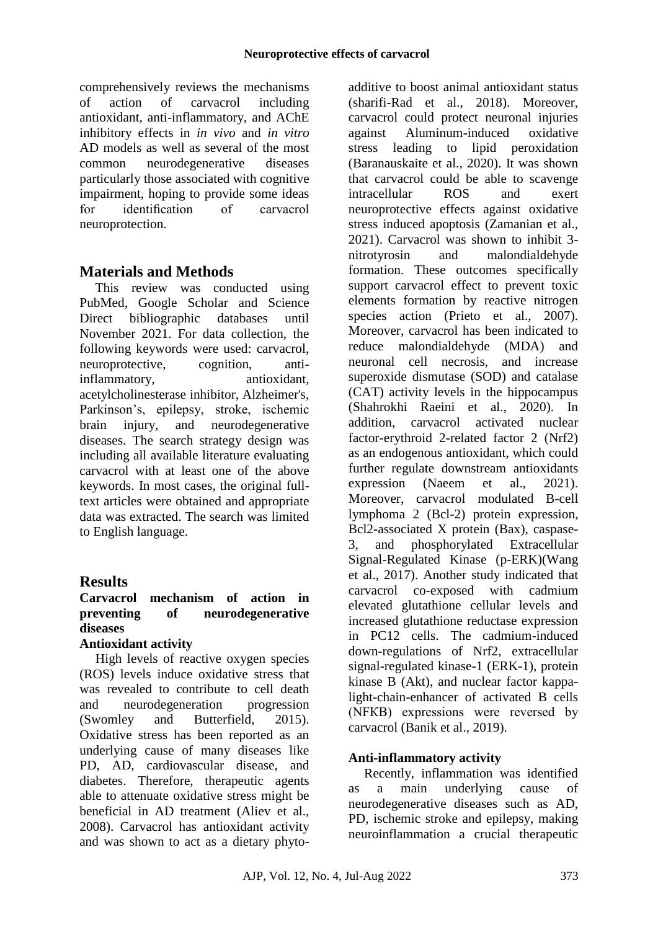comprehensively reviews the mechanisms of action of carvacrol including antioxidant, anti-inflammatory, and AChE inhibitory effects in *in vivo* and *in vitro* AD models as well as several of the most common neurodegenerative diseases particularly those associated with cognitive impairment, hoping to provide some ideas for identification of carvacrol neuroprotection.

# **Materials and Methods**

This review was conducted using PubMed, Google Scholar and Science Direct bibliographic databases until November 2021. For data collection, the following keywords were used: carvacrol, neuroprotective, cognition, antiinflammatory, antioxidant, acetylcholinesterase inhibitor, Alzheimer's, Parkinson's, epilepsy, stroke, ischemic brain injury, and neurodegenerative diseases. The search strategy design was including all available literature evaluating carvacrol with at least one of the above keywords. In most cases, the original fulltext articles were obtained and appropriate data was extracted. The search was limited to English language.

# **Results**

## **Carvacrol mechanism of action in preventing of neurodegenerative diseases**

### **Antioxidant activity**

High levels of reactive oxygen species (ROS) levels induce oxidative stress that was revealed to contribute to cell death and neurodegeneration progression (Swomley and Butterfield, 2015). Oxidative stress has been reported as an underlying cause of many diseases like PD, AD, cardiovascular disease, and diabetes. Therefore, therapeutic agents able to attenuate oxidative stress might be beneficial in AD treatment (Aliev et al., 2008). Carvacrol has antioxidant activity and was shown to act as a dietary phytoadditive to boost animal antioxidant status (sharifi-Rad et al., 2018). Moreover, carvacrol could protect neuronal injuries against Aluminum-induced oxidative stress leading to lipid peroxidation (Baranauskaite et al., 2020). It was shown that carvacrol could be able to scavenge intracellular ROS and exert neuroprotective effects against oxidative stress induced apoptosis (Zamanian et al., 2021). Carvacrol was shown to inhibit 3 nitrotyrosin and malondialdehyde formation. These outcomes specifically support carvacrol effect to prevent toxic elements formation by reactive nitrogen species action (Prieto et al., 2007). Moreover, carvacrol has been indicated to reduce malondialdehyde (MDA) and neuronal cell necrosis, and increase superoxide dismutase (SOD) and catalase (CAT) activity levels in the hippocampus (Shahrokhi Raeini et al., 2020). In addition, carvacrol activated nuclear factor-erythroid 2-related factor 2 (Nrf2) as an endogenous antioxidant, which could further regulate downstream antioxidants expression (Naeem et al., 2021). Moreover, carvacrol modulated B-cell lymphoma 2 (Bcl-2) protein expression, Bcl2-associated X protein (Bax), caspase-3, and phosphorylated Extracellular Signal-Regulated Kinase (p-ERK)(Wang et al., 2017). Another study indicated that carvacrol co-exposed with cadmium elevated glutathione cellular levels and increased glutathione reductase expression in PC12 cells. The cadmium-induced down-regulations of Nrf2, extracellular signal-regulated kinase-1 (ERK-1), protein kinase B (Akt), and nuclear factor kappalight-chain-enhancer of activated B cells (NFКB) expressions were reversed by carvacrol (Banik et al., 2019).

### **Anti-inflammatory activity**

Recently, inflammation was identified as a main underlying cause of neurodegenerative diseases such as AD, PD, ischemic stroke and epilepsy, making neuroinflammation a crucial therapeutic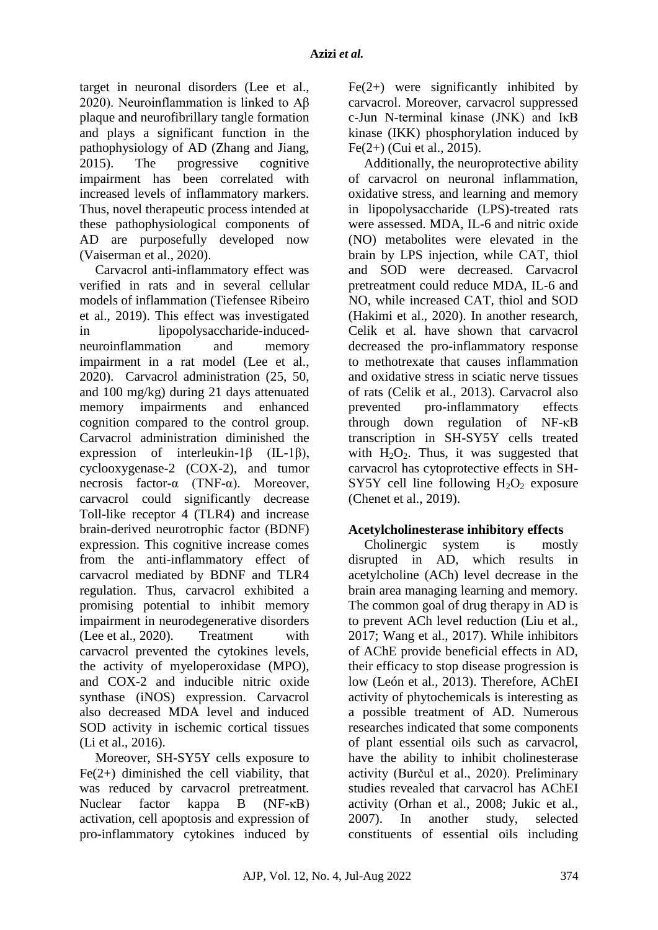target in neuronal disorders (Lee et al., 2020). Neuroinflammation is linked to Aβ plaque and neurofibrillary tangle formation and plays a significant function in the pathophysiology of AD (Zhang and Jiang, 2015). The progressive cognitive impairment has been correlated with increased levels of inflammatory markers. Thus, novel therapeutic process intended at these pathophysiological components of AD are purposefully developed now (Vaiserman et al., 2020).

Carvacrol anti-inflammatory effect was verified in rats and in several cellular models of inflammation (Tiefensee Ribeiro et al., 2019). This effect was investigated in lipopolysaccharide-inducedneuroinflammation and memory impairment in a rat model (Lee et al., 2020). Carvacrol administration (25, 50, and 100 mg/kg) during 21 days attenuated memory impairments and enhanced cognition compared to the control group. Carvacrol administration diminished the expression of interleukin-1β (IL-1β), cyclooxygenase-2 (COX-2), and tumor necrosis factor-α (TNF-α). Moreover, carvacrol could significantly decrease Toll-like receptor 4 (TLR4) and increase brain-derived neurotrophic factor (BDNF) expression. This cognitive increase comes from the anti-inflammatory effect of carvacrol mediated by BDNF and TLR4 regulation. Thus, carvacrol exhibited a promising potential to inhibit memory impairment in neurodegenerative disorders (Lee et al., 2020). Treatment with carvacrol prevented the cytokines levels, the activity of myeloperoxidase (MPO), and COX-2 and inducible nitric oxide synthase (iNOS) expression. Carvacrol also decreased MDA level and induced SOD activity in ischemic cortical tissues (Li et al., 2016).

Moreover, SH-SY5Y cells exposure to  $Fe(2+)$  diminished the cell viability, that was reduced by carvacrol pretreatment. Nuclear factor kappa B (NF-κB) activation, cell apoptosis and expression of pro-inflammatory cytokines induced by  $Fe(2+)$  were significantly inhibited by carvacrol. Moreover, carvacrol suppressed c-Jun N-terminal kinase (JNK) and IκB kinase (IKK) phosphorylation induced by Fe(2+) (Cui et al., 2015).

Additionally, the neuroprotective ability of carvacrol on neuronal inflammation, oxidative stress, and learning and memory in lipopolysaccharide (LPS)-treated rats were assessed. MDA, IL-6 and nitric oxide (NO) metabolites were elevated in the brain by LPS injection, while CAT, thiol and SOD were decreased. Carvacrol pretreatment could reduce MDA, IL-6 and NO, while increased CAT, thiol and SOD (Hakimi et al., 2020). In another research, Celik et al. have shown that carvacrol decreased the pro-inflammatory response to methotrexate that causes inflammation and oxidative stress in sciatic nerve tissues of rats (Celik et al., 2013). Carvacrol also prevented pro-inflammatory effects through down regulation of NF-κB transcription in SH-SY5Y cells treated with  $H_2O_2$ . Thus, it was suggested that carvacrol has cytoprotective effects in SH-SY5Y cell line following  $H_2O_2$  exposure (Chenet et al., 2019).

### **Acetylcholinesterase inhibitory effects**

Cholinergic system is mostly disrupted in AD, which results in acetylcholine (ACh) level decrease in the brain area managing learning and memory. The common goal of drug therapy in AD is to prevent ACh level reduction (Liu et al., 2017; Wang et al., 2017). While inhibitors of AChE provide beneficial effects in AD, their efficacy to stop disease progression is low (León et al., 2013). Therefore, AChEI activity of phytochemicals is interesting as a possible treatment of AD. Numerous researches indicated that some components of plant essential oils such as carvacrol, have the ability to inhibit cholinesterase activity (Burčul et al., 2020). Preliminary studies revealed that carvacrol has AChEI activity (Orhan et al., 2008; Jukic et al., 2007). In another study, selected constituents of essential oils including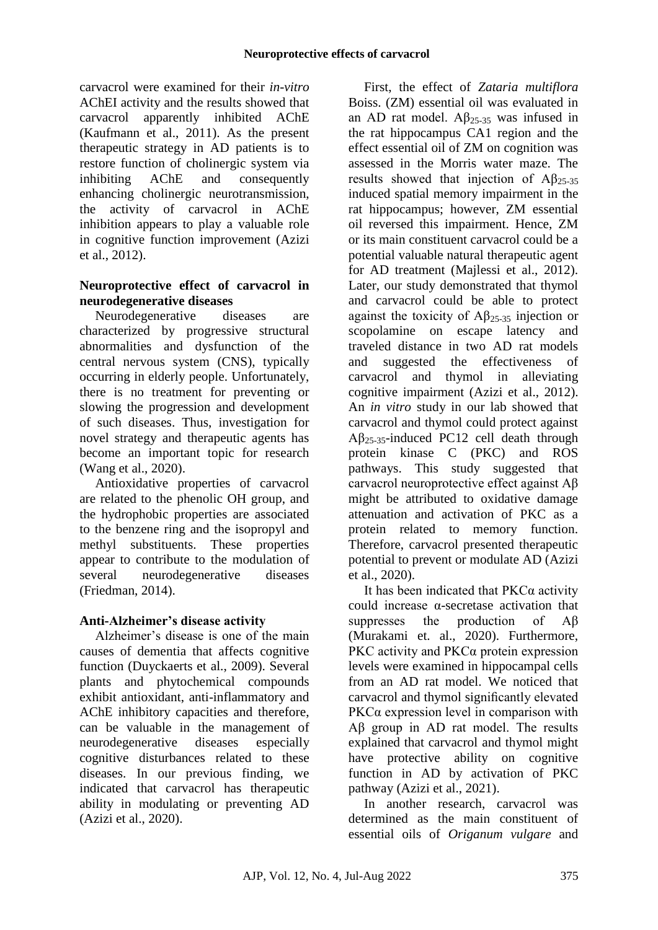carvacrol were examined for their *in-vitro* AChEI activity and the results showed that carvacrol apparently inhibited AChE (Kaufmann et al., 2011). As the present therapeutic strategy in AD patients is to restore function of cholinergic system via inhibiting AChE and consequently enhancing cholinergic neurotransmission, the activity of carvacrol in AChE inhibition appears to play a valuable role in cognitive function improvement (Azizi et al., 2012).

### **Neuroprotective effect of carvacrol in neurodegenerative diseases**

Neurodegenerative diseases are characterized by progressive structural abnormalities and dysfunction of the central nervous system (CNS), typically occurring in elderly people. Unfortunately, there is no treatment for preventing or slowing the progression and development of such diseases. Thus, investigation for novel strategy and therapeutic agents has become an important topic for research (Wang et al., 2020).

Antioxidative properties of carvacrol are related to the phenolic OH group, and the hydrophobic properties are associated to the benzene ring and the isopropyl and methyl substituents. These properties appear to contribute to the modulation of several neurodegenerative diseases (Friedman, 2014).

# **Anti-Alzheimer's disease activity**

Alzheimer's disease is one of the main causes of dementia that affects cognitive function (Duyckaerts et al., 2009). Several plants and phytochemical compounds exhibit antioxidant, anti-inflammatory and AChE inhibitory capacities and therefore, can be valuable in the management of neurodegenerative diseases especially cognitive disturbances related to these diseases. In our previous finding, we indicated that carvacrol has therapeutic ability in modulating or preventing AD (Azizi et al., 2020).

First, the effect of *Zataria multiflora*  Boiss. (ZM) essential oil was evaluated in an AD rat model.  $\text{AB}_{25-35}$  was infused in the rat hippocampus CA1 region and the effect essential oil of ZM on cognition was assessed in the Morris water maze. The results showed that injection of  $\text{AB}_{25-35}$ induced spatial memory impairment in the rat hippocampus; however, ZM essential oil reversed this impairment. Hence, ZM or its main constituent carvacrol could be a potential valuable natural therapeutic agent for AD treatment (Majlessi et al., 2012). Later, our study demonstrated that thymol and carvacrol could be able to protect against the toxicity of  $\mathbf{A}\beta_{25-35}$  injection or scopolamine on escape latency and traveled distance in two AD rat models and suggested the effectiveness of carvacrol and thymol in alleviating cognitive impairment (Azizi et al., 2012). An *in vitro* study in our lab showed that carvacrol and thymol could protect against  $AB_{25-35}$ -induced PC12 cell death through protein kinase C (PKC) and ROS pathways. This study suggested that carvacrol neuroprotective effect against Aβ might be attributed to oxidative damage attenuation and activation of PKC as a protein related to memory function. Therefore, carvacrol presented therapeutic potential to prevent or modulate AD (Azizi et al., 2020).

It has been indicated that PKCα activity could increase α-secretase activation that suppresses the production of Aβ (Murakami et. al., 2020). Furthermore, PKC activity and PKCα protein expression levels were examined in hippocampal cells from an AD rat model. We noticed that carvacrol and thymol significantly elevated  $P<sub>K</sub>C<sub>α</sub>$  expression level in comparison with Aβ group in AD rat model. The results explained that carvacrol and thymol might have protective ability on cognitive function in AD by activation of PKC pathway (Azizi et al., 2021).

In another research, carvacrol was determined as the main constituent of essential oils of *Origanum vulgare* and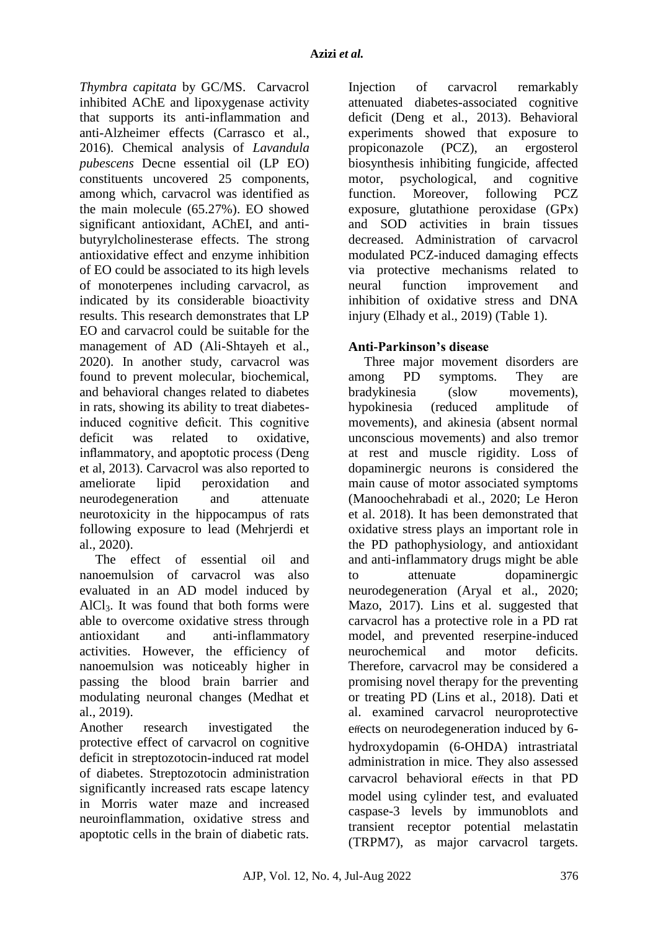*Thymbra capitata* by GC/MS. Carvacrol inhibited AChE and lipoxygenase activity that supports its anti-inflammation and anti-Alzheimer effects (Carrasco et al., 2016). Chemical analysis of *Lavandula pubescens* Decne essential oil (LP EO) constituents uncovered 25 components, among which, carvacrol was identified as the main molecule (65.27%). EO showed significant antioxidant, AChEI, and antibutyrylcholinesterase effects. The strong antioxidative effect and enzyme inhibition of EO could be associated to its high levels of monoterpenes including carvacrol, as indicated by its considerable bioactivity results. This research demonstrates that LP EO and carvacrol could be suitable for the management of AD (Ali-Shtayeh et al., 2020). In another study, carvacrol was found to prevent molecular, biochemical, and behavioral changes related to diabetes in rats, showing its ability to treat diabetesinduced cognitive deficit. This cognitive deficit was related to oxidative, inflammatory, and apoptotic process (Deng et al, 2013). Carvacrol was also reported to ameliorate lipid peroxidation and neurodegeneration and attenuate neurotoxicity in the hippocampus of rats following exposure to lead (Mehrjerdi et al., 2020).

The effect of essential oil and nanoemulsion of carvacrol was also evaluated in an AD model induced by AlCl3. It was found that both forms were able to overcome oxidative stress through antioxidant and anti-inflammatory activities. However, the efficiency of nanoemulsion was noticeably higher in passing the blood brain barrier and modulating neuronal changes (Medhat et al., 2019).

Another research investigated the protective effect of carvacrol on cognitive deficit in streptozotocin-induced rat model of diabetes. Streptozotocin administration significantly increased rats escape latency in Morris water maze and increased neuroinflammation, oxidative stress and apoptotic cells in the brain of diabetic rats.

Injection of carvacrol remarkably attenuated diabetes-associated cognitive deficit (Deng et al., 2013). Behavioral experiments showed that exposure to propiconazole (PCZ), an ergosterol biosynthesis inhibiting fungicide, affected motor, psychological, and cognitive function. Moreover, following PCZ exposure, glutathione peroxidase (GPx) and SOD activities in brain tissues decreased. Administration of carvacrol modulated PCZ-induced damaging effects via protective mechanisms related to neural function improvement and inhibition of oxidative stress and DNA injury (Elhady et al., 2019) (Table 1).

## **Anti-Parkinson's disease**

Three major movement disorders are among PD symptoms. They are bradykinesia (slow movements), hypokinesia (reduced amplitude of movements), and akinesia (absent normal unconscious movements) and also tremor at rest and muscle rigidity. Loss of dopaminergic neurons is considered the main cause of motor associated symptoms (Manoochehrabadi et al., 2020; Le Heron et al. 2018). It has been demonstrated that oxidative stress plays an important role in the PD pathophysiology, and antioxidant and anti-inflammatory drugs might be able to attenuate dopaminergic neurodegeneration (Aryal et al., 2020; Mazo, 2017). Lins et al. suggested that carvacrol has a protective role in a PD rat model, and prevented reserpine-induced neurochemical and motor deficits. Therefore, carvacrol may be considered a promising novel therapy for the preventing or treating PD (Lins et al., 2018). Dati et al. examined carvacrol neuroprotective effects on neurodegeneration induced by 6 hydroxydopamin (6-OHDA) intrastriatal administration in mice. They also assessed carvacrol behavioral effects in that PD model using cylinder test, and evaluated caspase-3 levels by immunoblots and transient receptor potential melastatin (TRPM7), as major carvacrol targets.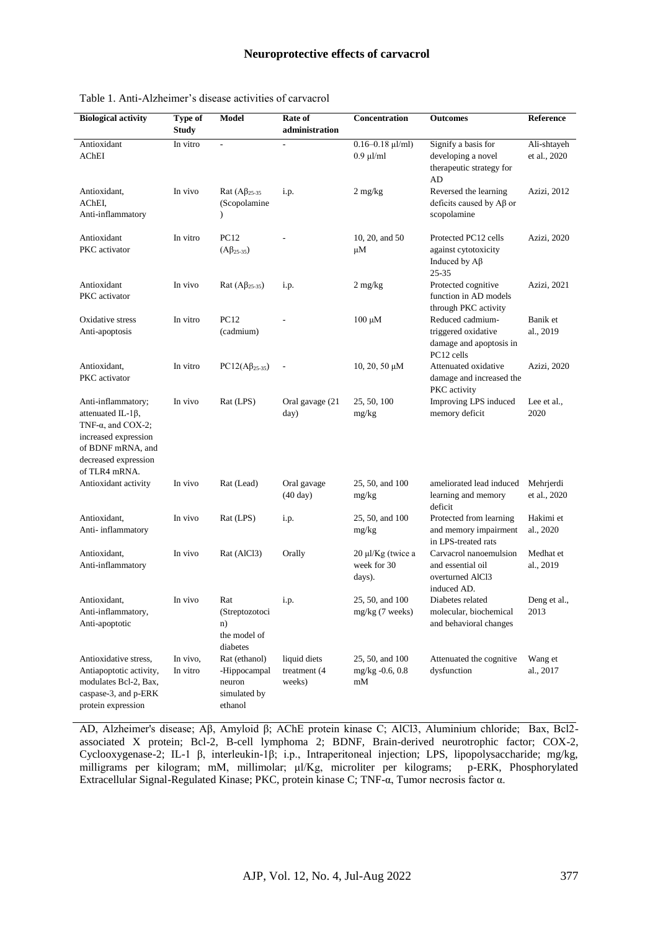| <b>Biological activity</b>                                                                                                                                          | Type of<br><b>Study</b> | Model                                                              | Rate of<br>administration              | Concentration                                   | <b>Outcomes</b>                                                                  | Reference                   |
|---------------------------------------------------------------------------------------------------------------------------------------------------------------------|-------------------------|--------------------------------------------------------------------|----------------------------------------|-------------------------------------------------|----------------------------------------------------------------------------------|-----------------------------|
| Antioxidant<br>AChEI                                                                                                                                                | In vitro                | $\overline{a}$                                                     |                                        | $0.16 - 0.18$ $\mu$ l/ml)<br>$0.9$ $\mu$ l/ml   | Signify a basis for<br>developing a novel<br>therapeutic strategy for<br>AD      | Ali-shtayeh<br>et al., 2020 |
| Antioxidant,<br>AChEI,<br>Anti-inflammatory                                                                                                                         | In vivo                 | Rat $(A\beta_{25-35})$<br>(Scopolamine<br>⟩                        | i.p.                                   | $2 \text{ mg/kg}$                               | Reversed the learning<br>deficits caused by $A\beta$ or<br>scopolamine           | Azizi, 2012                 |
| Antioxidant<br>PKC activator                                                                                                                                        | In vitro                | PC12<br>$(A\beta_{25-35})$                                         |                                        | 10, 20, and 50<br>$\mu$ M                       | Protected PC12 cells<br>against cytotoxicity<br>Induced by $A\beta$<br>$25 - 35$ | Azizi, 2020                 |
| Antioxidant<br>PKC activator                                                                                                                                        | In vivo                 | Rat $(A\beta_{25-35})$                                             | i.p.                                   | $2 \text{ mg/kg}$                               | Protected cognitive<br>function in AD models<br>through PKC activity             | Azizi, 2021                 |
| Oxidative stress<br>Anti-apoptosis                                                                                                                                  | In vitro                | PC12<br>(cadmium)                                                  |                                        | $100 \mu M$                                     | Reduced cadmium-<br>triggered oxidative<br>damage and apoptosis in<br>PC12 cells | Banik et<br>al., 2019       |
| Antioxidant,<br>PKC activator                                                                                                                                       | In vitro                | $PC12(A\beta_{25-35})$                                             |                                        | 10, 20, 50 μΜ                                   | Attenuated oxidative<br>damage and increased the<br>PKC activity                 | Azizi, 2020                 |
| Anti-inflammatory;<br>attenuated IL-1 $\beta$ ,<br>TNF- $\alpha$ , and COX-2;<br>increased expression<br>of BDNF mRNA, and<br>decreased expression<br>of TLR4 mRNA. | In vivo                 | Rat (LPS)                                                          | Oral gavage (21<br>day)                | 25, 50, 100<br>mg/kg                            | Improving LPS induced<br>memory deficit                                          | Lee et al.,<br>2020         |
| Antioxidant activity                                                                                                                                                | In vivo                 | Rat (Lead)                                                         | Oral gavage<br>$(40 \text{ day})$      | 25, 50, and 100<br>mg/kg                        | ameliorated lead induced<br>learning and memory<br>deficit                       | Mehrjerdi<br>et al., 2020   |
| Antioxidant,<br>Anti-inflammatory                                                                                                                                   | In vivo                 | Rat (LPS)                                                          | i.p.                                   | 25, 50, and 100<br>mg/kg                        | Protected from learning<br>and memory impairment<br>in LPS-treated rats          | Hakimi et<br>al., 2020      |
| Antioxidant,<br>Anti-inflammatory                                                                                                                                   | In vivo                 | Rat (AlCl3)                                                        | Orally                                 | $20 \mu$ I/Kg (twice a<br>week for 30<br>days). | Carvacrol nanoemulsion<br>and essential oil<br>overturned AlCl3<br>induced AD.   | Medhat et<br>al., 2019      |
| Antioxidant,<br>Anti-inflammatory,<br>Anti-apoptotic                                                                                                                | In vivo                 | Rat<br>(Streptozotoci<br>n)<br>the model of<br>diabetes            | i.p.                                   | 25, 50, and 100<br>mg/kg (7 weeks)              | Diabetes related<br>molecular, biochemical<br>and behavioral changes             | Deng et al.,<br>2013        |
| Antioxidative stress,<br>Antiapoptotic activity,<br>modulates Bcl-2, Bax,<br>caspase-3, and p-ERK<br>protein expression                                             | In vivo,<br>In vitro    | Rat (ethanol)<br>-Hippocampal<br>neuron<br>simulated by<br>ethanol | liquid diets<br>treatment (4<br>weeks) | 25, 50, and 100<br>$mg/kg - 0.6, 0.8$<br>mM     | Attenuated the cognitive<br>dysfunction                                          | Wang et<br>al., 2017        |

Table 1. Anti-Alzheimer's disease activities of carvacrol

AD, Alzheimer's disease; Aβ, Amyloid β; AChE protein kinase C; AlCl3, Aluminium chloride; Bax, Bcl2 associated X protein; Bcl-2, B-cell lymphoma 2; BDNF, Brain-derived neurotrophic factor; COX-2, Cyclooxygenase-2; IL-1 β, interleukin-1β; i.p., Intraperitoneal injection; LPS, lipopolysaccharide; mg/kg, milligrams per kilogram; mM, millimolar; μl/Kg, microliter per kilograms; p-ERK, Phosphorylated Extracellular Signal-Regulated Kinase; PKC, protein kinase C; TNF-α, Tumor necrosis factor α.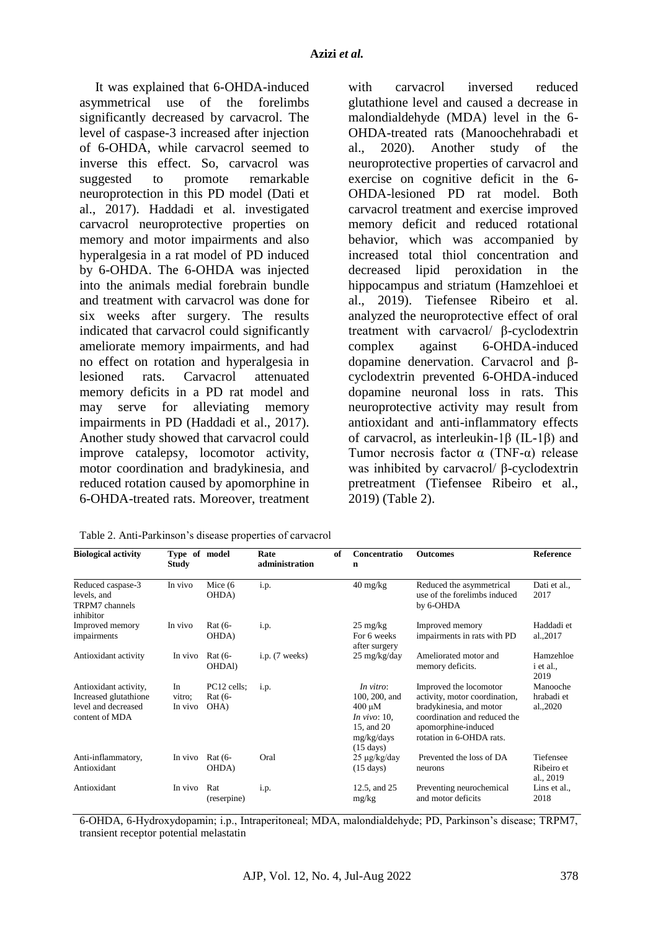It was explained that 6-OHDA-induced asymmetrical use of the forelimbs significantly decreased by carvacrol. The level of caspase-3 increased after injection of 6-OHDA, while carvacrol seemed to inverse this effect. So, carvacrol was suggested to promote remarkable neuroprotection in this PD model (Dati et al., 2017). Haddadi et al. investigated carvacrol neuroprotective properties on memory and motor impairments and also hyperalgesia in a rat model of PD induced by 6-OHDA. The 6-OHDA was injected into the animals medial forebrain bundle and treatment with carvacrol was done for six weeks after surgery. The results indicated that carvacrol could significantly ameliorate memory impairments, and had no effect on rotation and hyperalgesia in lesioned rats. Carvacrol attenuated memory deficits in a PD rat model and may serve for alleviating memory impairments in PD (Haddadi et al., 2017). Another study showed that carvacrol could improve catalepsy, locomotor activity, motor coordination and bradykinesia, and reduced rotation caused by apomorphine in 6-OHDA-treated rats. Moreover, treatment

| carvación inversed reduced                                 |
|------------------------------------------------------------|
| glutathione level and caused a decrease in                 |
| malondialdehyde (MDA) level in the 6-                      |
| OHDA-treated rats (Manoochehrabadi et                      |
| al., 2020). Another study of the                           |
| neuroprotective properties of carvacrol and                |
| exercise on cognitive deficit in the 6-                    |
| OHDA-lesioned PD rat model. Both                           |
| carvacrol treatment and exercise improved                  |
| memory deficit and reduced rotational                      |
| behavior, which was accompanied by                         |
| increased total thiol concentration and                    |
| decreased lipid peroxidation in the                        |
| hippocampus and striatum (Hamzehloei et                    |
| al., 2019). Tiefensee Ribeiro et al.                       |
| analyzed the neuroprotective effect of oral                |
| treatment with carvacrol/ $\beta$ -cyclodextrin            |
| complex against 6-OHDA-induced                             |
| dopamine denervation. Carvacrol and $\beta$ -              |
| cyclodextrin prevented 6-OHDA-induced                      |
| dopamine neuronal loss in rats. This                       |
| neuroprotective activity may result from                   |
| antioxidant and anti-inflammatory effects                  |
| of carvacrol, as interleukin-1 $\beta$ (IL-1 $\beta$ ) and |
| Tumor necrosis factor $\alpha$ (TNF- $\alpha$ ) release    |
| was inhibited by carvacrol/ $\beta$ -cyclodextrin          |
| pretreatment (Tiefensee Ribeiro et al.,                    |
| 2019) (Table 2).                                           |
|                                                            |

with corveoral inversed reduced

Table 2. Anti-Parkinson's disease properties of carvacrol

| <b>Biological activity</b>                                                              | Type of model<br><b>Study</b> |                                | Rate<br>administration | of | Concentratio<br>n                                                                                              | <b>Outcomes</b>                                                                                                                                                       | <b>Reference</b>                      |
|-----------------------------------------------------------------------------------------|-------------------------------|--------------------------------|------------------------|----|----------------------------------------------------------------------------------------------------------------|-----------------------------------------------------------------------------------------------------------------------------------------------------------------------|---------------------------------------|
| Reduced caspase-3<br>levels, and<br>TRPM7 channels<br>inhibitor                         | In vivo                       | Mice $(6)$<br>OHDA)            | i.p.                   |    | $40 \frac{\text{mg}}{\text{kg}}$                                                                               | Reduced the asymmetrical<br>use of the forelimbs induced<br>by 6-OHDA                                                                                                 | Dati et al.,<br>2017                  |
| Improved memory<br>impairments                                                          | In vivo                       | Rat (6-<br>OHDA)               | i.p.                   |    | $25 \text{ mg/kg}$<br>For 6 weeks<br>after surgery                                                             | Improved memory<br>impairments in rats with PD                                                                                                                        | Haddadi et<br>al.,2017                |
| Antioxidant activity                                                                    | In vivo                       | Rat (6-<br>OHDAl)              | i.p. (7 weeks)         |    | $25 \text{ mg/kg/day}$                                                                                         | Ameliorated motor and<br>memory deficits.                                                                                                                             | Hamzehloe<br><i>i</i> et al.,<br>2019 |
| Antioxidant activity,<br>Increased glutathione<br>level and decreased<br>content of MDA | In<br>vitro;<br>In vivo       | PC12 cells;<br>Rat (6-<br>OHA) | i.p.                   |    | In vitro:<br>100, 200, and<br>$400 \mu M$<br>In vivo: $10$ ,<br>15, and 20<br>mg/kg/day<br>$(15 \text{ days})$ | Improved the locomotor<br>activity, motor coordination,<br>bradykinesia, and motor<br>coordination and reduced the<br>apomorphine-induced<br>rotation in 6-OHDA rats. | Manooche<br>hrabadi et<br>al.,2020    |
| Anti-inflammatory,<br>Antioxidant                                                       | In vivo                       | $Rat(6-$<br>OHDA)              | Oral                   |    | $25 \mu g/kg/day$<br>$(15 \text{ days})$                                                                       | Prevented the loss of DA<br>neurons                                                                                                                                   | Tiefensee<br>Ribeiro et<br>al., 2019  |
| Antioxidant                                                                             | In vivo                       | Rat<br>(reserpine)             | i.p.                   |    | 12.5, and 25<br>mg/kg                                                                                          | Preventing neurochemical<br>and motor deficits                                                                                                                        | Lins et al.,<br>2018                  |

6-OHDA, 6-Hydroxydopamin; i.p., Intraperitoneal; MDA, malondialdehyde; PD, Parkinson's disease; TRPM7, transient receptor potential melastatin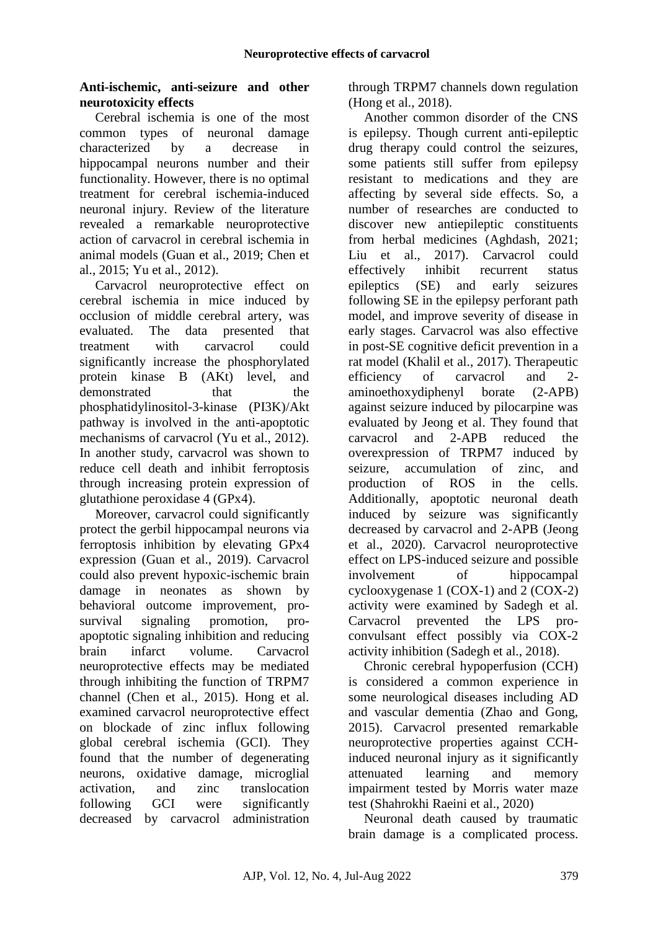### **Anti-ischemic, anti-seizure and other neurotoxicity effects**

Cerebral ischemia is one of the most common types of neuronal damage characterized by a decrease in hippocampal neurons number and their functionality. However, there is no optimal treatment for cerebral ischemia-induced neuronal injury. Review of the literature revealed a remarkable neuroprotective action of carvacrol in cerebral ischemia in animal models (Guan et al., 2019; Chen et al., 2015; Yu et al., 2012).

Carvacrol neuroprotective effect on cerebral ischemia in mice induced by occlusion of middle cerebral artery, was evaluated. The data presented that treatment with carvacrol could significantly increase the phosphorylated protein kinase B (AKt) level, and demonstrated that the phosphatidylinositol-3-kinase (PI3K)/Akt pathway is involved in the anti-apoptotic mechanisms of carvacrol (Yu et al., 2012). In another study, carvacrol was shown to reduce cell death and inhibit ferroptosis through increasing protein expression of glutathione peroxidase 4 (GPx4).

Moreover, carvacrol could significantly protect the gerbil hippocampal neurons via ferroptosis inhibition by elevating GPx4 expression (Guan et al., 2019). Carvacrol could also prevent hypoxic-ischemic brain damage in neonates as shown by behavioral outcome improvement, prosurvival signaling promotion, proapoptotic signaling inhibition and reducing brain infarct volume. Carvacrol neuroprotective effects may be mediated through inhibiting the function of TRPM7 channel (Chen et al., 2015). Hong et al. examined carvacrol neuroprotective effect on blockade of zinc influx following global cerebral ischemia (GCI). They found that the number of degenerating neurons, oxidative damage, microglial activation, and zinc translocation following GCI were significantly decreased by carvacrol administration

through TRPM7 channels down regulation (Hong et al., 2018).

Another common disorder of the CNS is epilepsy. Though current anti-epileptic drug therapy could control the seizures, some patients still suffer from epilepsy resistant to medications and they are affecting by several side effects. So, a number of researches are conducted to discover new antiepileptic constituents from herbal medicines (Aghdash, 2021; Liu et al., 2017). Carvacrol could effectively inhibit recurrent status epileptics (SE) and early seizures following SE in the epilepsy perforant path model, and improve severity of disease in early stages. Carvacrol was also effective in post-SE cognitive deficit prevention in a rat model (Khalil et al., 2017). Therapeutic efficiency of carvacrol and 2 aminoethoxydiphenyl borate (2-APB) against seizure induced by pilocarpine was evaluated by Jeong et al. They found that carvacrol and 2-APB reduced the overexpression of TRPM7 induced by seizure, accumulation of zinc, and production of ROS in the cells. Additionally, apoptotic neuronal death induced by seizure was significantly decreased by carvacrol and 2-APB (Jeong et al., 2020). Carvacrol neuroprotective effect on LPS-induced seizure and possible involvement of hippocampal cyclooxygenase 1 (COX-1) and 2 (COX-2) activity were examined by Sadegh et al. Carvacrol prevented the LPS proconvulsant effect possibly via COX-2 activity inhibition (Sadegh et al., 2018).

Chronic cerebral hypoperfusion (CCH) is considered a common experience in some neurological diseases including AD and vascular dementia (Zhao and Gong, 2015). Carvacrol presented remarkable neuroprotective properties against CCHinduced neuronal injury as it significantly attenuated learning and memory impairment tested by Morris water maze test [\(Shahrokhi Raeini](https://pubmed.ncbi.nlm.nih.gov/?size=50&term=Shahrokhi+Raeini+A&cauthor_id=31729545) et al., 2020)

Neuronal death caused by traumatic brain damage is a complicated process.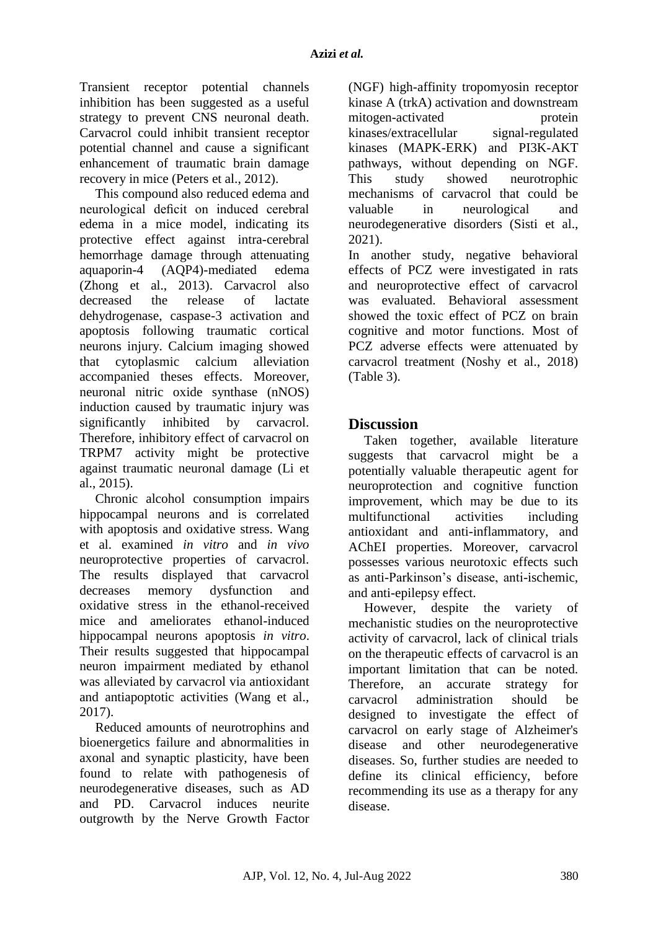Transient receptor potential channels inhibition has been suggested as a useful strategy to prevent CNS neuronal death. Carvacrol could inhibit transient receptor potential channel and cause a significant enhancement of traumatic brain damage recovery in mice (Peters et al., 2012).

This compound also reduced edema and neurological deficit on induced cerebral edema in a mice model, indicating its protective effect against intra-cerebral hemorrhage damage through attenuating aquaporin-4 (AQP4)-mediated edema (Zhong et al., 2013). Carvacrol also decreased the release of lactate dehydrogenase, caspase-3 activation and apoptosis following traumatic cortical neurons injury. Calcium imaging showed that cytoplasmic calcium alleviation accompanied theses effects. Moreover, neuronal nitric oxide synthase (nNOS) induction caused by traumatic injury was significantly inhibited by carvacrol. Therefore, inhibitory effect of carvacrol on TRPM7 activity might be protective against traumatic neuronal damage (Li et al., 2015).

Chronic alcohol consumption impairs hippocampal neurons and is correlated with apoptosis and oxidative stress. Wang et al. examined *in vitro* and *in vivo* neuroprotective properties of carvacrol. The results displayed that carvacrol decreases memory dysfunction and oxidative stress in the ethanol-received mice and ameliorates ethanol-induced hippocampal neurons apoptosis *in vitro*. Their results suggested that hippocampal neuron impairment mediated by ethanol was alleviated by carvacrol via antioxidant and antiapoptotic activities (Wang et al., 2017).

Reduced amounts of neurotrophins and bioenergetics failure and abnormalities in axonal and synaptic plasticity, have been found to relate with pathogenesis of neurodegenerative diseases, such as AD and PD. Carvacrol induces neurite outgrowth by the Nerve Growth Factor (NGF) high-affinity tropomyosin receptor kinase A (trkA) activation and downstream mitogen-activated protein kinases/extracellular signal-regulated kinases (MAPK-ERK) and PI3K-AKT pathways, without depending on NGF. This study showed neurotrophic mechanisms of carvacrol that could be valuable in neurological and neurodegenerative disorders (Sisti et al., 2021).

In another study, negative behavioral effects of PCZ were investigated in rats and neuroprotective effect of carvacrol was evaluated. Behavioral assessment showed the toxic effect of PCZ on brain cognitive and motor functions. Most of PCZ adverse effects were attenuated by carvacrol treatment (Noshy et al., 2018) (Table 3).

## **Discussion**

Taken together, available literature suggests that carvacrol might be a potentially valuable therapeutic agent for neuroprotection and cognitive function improvement, which may be due to its multifunctional activities including antioxidant and anti-inflammatory, and AChEI properties. Moreover, carvacrol possesses various neurotoxic effects such as anti-Parkinson's disease, anti-ischemic, and anti-epilepsy effect.

However, despite the variety of mechanistic studies on the neuroprotective activity of carvacrol, lack of clinical trials on the therapeutic effects of carvacrol is an important limitation that can be noted. Therefore, an accurate strategy for carvacrol administration should be designed to investigate the effect of carvacrol on early stage of Alzheimer's disease and other neurodegenerative diseases. So, further studies are needed to define its clinical efficiency, before recommending its use as a therapy for any disease.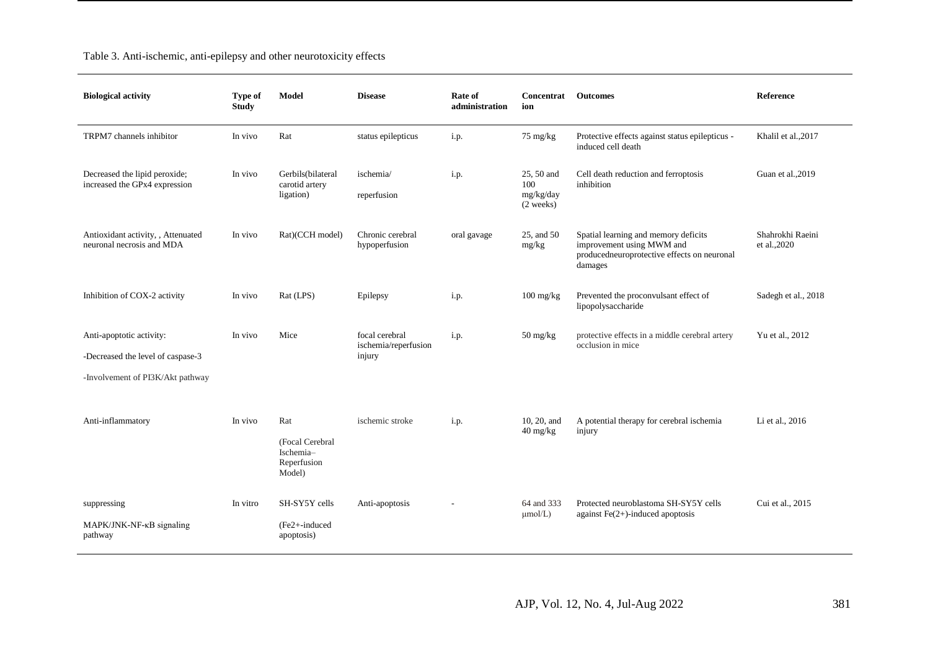| <b>Biological activity</b>                                                                        | <b>Type of</b><br><b>Study</b> | Model                                                        | <b>Disease</b>                                   | Rate of<br>administration | <b>Concentrat</b> Outcomes<br>ion               |                                                                                                                             | Reference                        |
|---------------------------------------------------------------------------------------------------|--------------------------------|--------------------------------------------------------------|--------------------------------------------------|---------------------------|-------------------------------------------------|-----------------------------------------------------------------------------------------------------------------------------|----------------------------------|
| TRPM7 channels inhibitor                                                                          | In vivo                        | Rat                                                          | status epilepticus                               | i.p.                      | $75 \text{ mg/kg}$                              | Protective effects against status epilepticus -<br>induced cell death                                                       | Khalil et al., 2017              |
| Decreased the lipid peroxide;<br>increased the GPx4 expression                                    | In vivo                        | Gerbils(bilateral<br>carotid artery<br>ligation)             | ischemia/<br>reperfusion                         | i.p.                      | 25, 50 and<br>100<br>mg/kg/day<br>(2 weeks)     | Cell death reduction and ferroptosis<br>inhibition                                                                          | Guan et al., 2019                |
| Antioxidant activity, , Attenuated<br>neuronal necrosis and MDA                                   | In vivo                        | Rat)(CCH model)                                              | Chronic cerebral<br>hypoperfusion                | oral gavage               | 25, and 50<br>mg/kg                             | Spatial learning and memory deficits<br>improvement using MWM and<br>producedneuroprotective effects on neuronal<br>damages | Shahrokhi Raeini<br>et al., 2020 |
| Inhibition of COX-2 activity                                                                      | In vivo                        | Rat (LPS)                                                    | Epilepsy                                         | i.p.                      | $100 \frac{\text{mg}}{\text{kg}}$               | Prevented the proconvulsant effect of<br>lipopolysaccharide                                                                 | Sadegh et al., 2018              |
| Anti-apoptotic activity:<br>-Decreased the level of caspase-3<br>-Involvement of PI3K/Akt pathway | In vivo                        | Mice                                                         | focal cerebral<br>ischemia/reperfusion<br>injury | i.p.                      | 50 mg/kg                                        | protective effects in a middle cerebral artery<br>occlusion in mice                                                         | Yu et al., 2012                  |
| Anti-inflammatory                                                                                 | In vivo                        | Rat<br>(Focal Cerebral<br>Ischemia-<br>Reperfusion<br>Model) | ischemic stroke                                  | i.p.                      | 10, 20, and<br>$40 \frac{\text{mg}}{\text{kg}}$ | A potential therapy for cerebral ischemia<br>injury                                                                         | Li et al., 2016                  |
| suppressing<br>MAPK/JNK-NF-KB signaling<br>pathway                                                | In vitro                       | SH-SY5Y cells<br>(Fe2+-induced<br>apoptosis)                 | Anti-apoptosis                                   |                           | 64 and 333<br>$\mu$ mol/L)                      | Protected neuroblastoma SH-SY5Y cells<br>against $Fe(2+)$ -induced apoptosis                                                | Cui et al., 2015                 |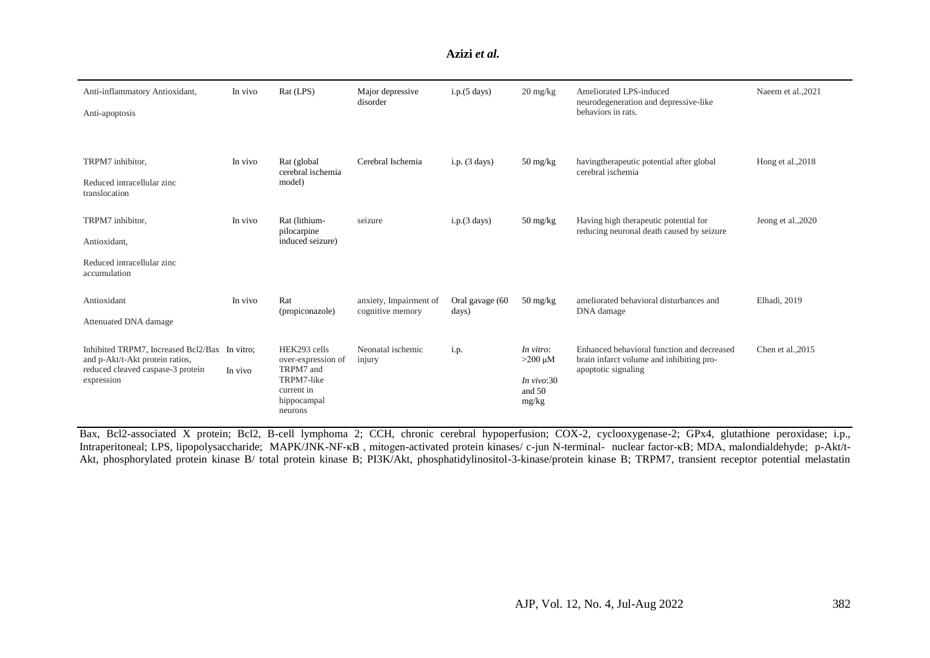#### **Azizi** *et al.*

| Anti-inflammatory Antioxidant,<br>Anti-apoptosis                                                                          | In vivo              | Rat (LPS)                                                                                             | Major depressive<br>disorder               | i.p.(5 days)             | $20 \frac{\text{mg}}{\text{kg}}$                             | Ameliorated LPS-induced<br>neurodegeneration and depressive-like<br>behaviors in rats.                        | Naeem et al., 2021 |
|---------------------------------------------------------------------------------------------------------------------------|----------------------|-------------------------------------------------------------------------------------------------------|--------------------------------------------|--------------------------|--------------------------------------------------------------|---------------------------------------------------------------------------------------------------------------|--------------------|
| TRPM7 inhibitor,<br>Reduced intracellular zinc<br>translocation                                                           | In vivo              | Rat (global<br>cerebral ischemia<br>model)                                                            | Cerebral Ischemia                          | $i.p.$ (3 days)          | $50 \frac{\text{mg}}{\text{kg}}$                             | having the rapeutic potential after global<br>cerebral ischemia                                               | Hong et al., 2018  |
| TRPM7 inhibitor,<br>Antioxidant,<br>Reduced intracellular zinc<br>accumulation                                            | In vivo              | Rat (lithium-<br>pilocarpine<br>induced seizure)                                                      | seizure                                    | i.p.(3 days)             | $50 \frac{\text{mg}}{\text{kg}}$                             | Having high therapeutic potential for<br>reducing neuronal death caused by seizure                            | Jeong et al., 2020 |
| Antioxidant<br>Attenuated DNA damage                                                                                      | In vivo              | Rat<br>(propiconazole)                                                                                | anxiety, Impairment of<br>cognitive memory | Oral gavage (60<br>days) | $50 \frac{\text{mg}}{\text{kg}}$                             | ameliorated behavioral disturbances and<br>DNA damage                                                         | Elhadi, 2019       |
| Inhibited TRPM7, Increased Bcl2/Bax<br>and p-Akt/t-Akt protein ratios,<br>reduced cleaved caspase-3 protein<br>expression | In vitro:<br>In vivo | HEK293 cells<br>over-expression of<br>TRPM7 and<br>TRPM7-like<br>current in<br>hippocampal<br>neurons | Neonatal ischemic<br>injury                | i.p.                     | In vitro:<br>$>200 \mu M$<br>In $vivo:30$<br>and 50<br>mg/kg | Enhanced behavioral function and decreased<br>brain infarct volume and inhibiting pro-<br>apoptotic signaling | Chen et al., 2015  |

Bax, Bcl2-associated X protein; Bcl2, B-cell lymphoma 2; CCH, chronic cerebral hypoperfusion; COX-2, cyclooxygenase-2; GPx4, glutathione peroxidase; i.p., Intraperitoneal; LPS, lipopolysaccharide; MAPK/JNK-NF-κB , mitogen-activated protein kinases/ c-jun N-terminal- nuclear factor-κB; MDA, malondialdehyde; p-Akt/t-Akt, phosphorylated protein kinase B/ total protein kinase B; PI3K/Akt, phosphatidylinositol-3-kinase/protein kinase B; TRPM7, transient receptor potential melastatin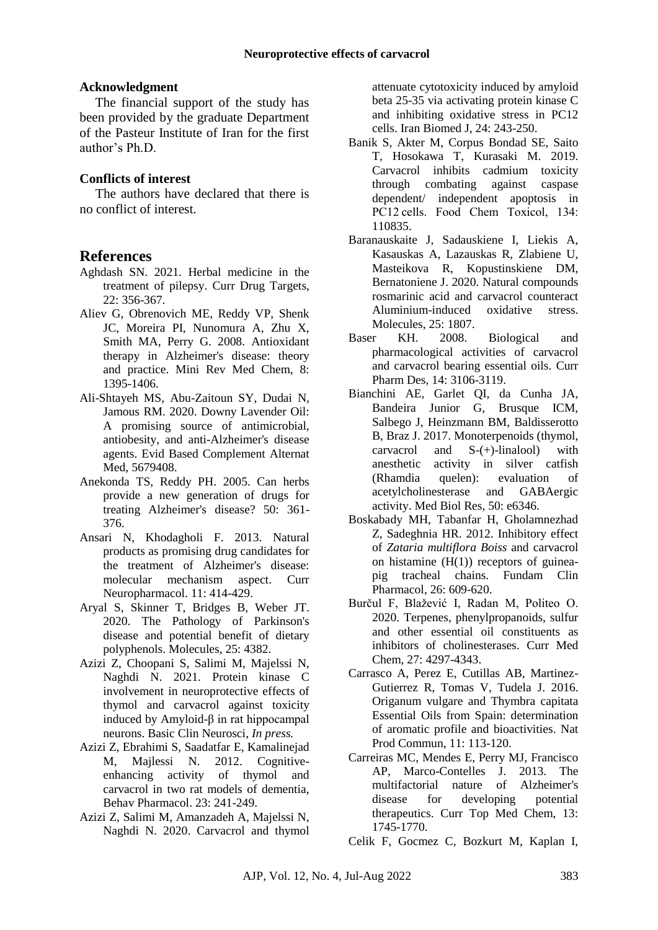#### **Acknowledgment**

The financial support of the study has been provided by the graduate Department of the Pasteur Institute of Iran for the first author's Ph.D.

#### **Conflicts of interest**

The authors have declared that there is no conflict of interest.

#### **References**

- Aghdash SN. 2021. Herbal medicine in the treatment of pilepsy. Curr Drug Targets, 22: 356-367.
- Aliev G, Obrenovich ME, Reddy VP, Shenk JC, Moreira PI, Nunomura A, Zhu X, Smith MA, Perry G. 2008. Antioxidant therapy in Alzheimer's disease: theory and practice. Mini Rev Med Chem, 8: 1395-1406.
- Ali-Shtayeh MS, Abu-Zaitoun SY, Dudai N, Jamous RM. 2020. Downy Lavender Oil: A promising source of antimicrobial, antiobesity, and anti-Alzheimer's disease agents. Evid Based Complement Alternat Med, 5679408.
- Anekonda TS, Reddy PH. 2005. Can herbs provide a new generation of drugs for treating Alzheimer's disease? 50: 361- 376.
- Ansari N, Khodagholi F. 2013. Natural products as promising drug candidates for the treatment of Alzheimer's disease: molecular mechanism aspect. Curr Neuropharmacol. 11: 414-429.
- Aryal S, Skinner T, Bridges B, Weber JT. 2020. The Pathology of Parkinson's disease and potential benefit of dietary polyphenols. Molecules, 25: 4382.
- Azizi Z, Choopani S, Salimi M, Majelssi N, Naghdi N. 2021. Protein kinase C involvement in neuroprotective effects of thymol and carvacrol against toxicity induced by Amyloid-β in rat hippocampal neurons. Basic Clin Neurosci*, In press.*
- Azizi Z, Ebrahimi S, Saadatfar E, Kamalinejad M, Majlessi N. 2012. Cognitiveenhancing activity of thymol and carvacrol in two rat models of dementia, Behav Pharmacol. 23: 241-249.
- Azizi Z, Salimi M, Amanzadeh A, Majelssi N, Naghdi N. 2020. Carvacrol and thymol

attenuate cytotoxicity induced by amyloid beta 25-35 via activating protein kinase C and inhibiting oxidative stress in PC12 cells. Iran Biomed J, 24: 243-250.

- Banik S, Akter M, Corpus Bondad SE, Saito T, Hosokawa T, Kurasaki M. 2019. Carvacrol inhibits cadmium toxicity through combating against caspase dependent/ independent apoptosis in PC12 cells. Food Chem Toxicol, 134: 110835.
- Baranauskaite J, Sadauskiene I, Liekis A, Kasauskas A, Lazauskas R, Zlabiene U, Masteikova R, Kopustinskiene DM, Bernatoniene J. 2020. Natural compounds rosmarinic acid and carvacrol counteract Aluminium-induced oxidative stress. Molecules, 25: 1807.
- Baser KH. 2008. Biological and pharmacological activities of carvacrol and carvacrol bearing essential oils. Curr Pharm Des, 14: 3106-3119.
- Bianchini AE, Garlet QI, da Cunha JA, Bandeira Junior G, Brusque ICM, Salbego J, Heinzmann BM, Baldisserotto B, Braz J. 2017. Monoterpenoids (thymol, carvacrol and S-(+)-linalool) with anesthetic activity in silver catfish (Rhamdia quelen): evaluation of acetylcholinesterase and GABAergic activity. Med Biol Res, 50: e6346.
- Boskabady MH, Tabanfar H, Gholamnezhad Z, Sadeghnia HR. 2012. Inhibitory effect of *Zataria multiflora Boiss* and carvacrol on histamine  $(H(1))$  receptors of guineapig tracheal chains. Fundam Clin Pharmacol, 26: 609-620.
- Burčul F, Blažević I, Radan M, Politeo O. 2020. Terpenes, phenylpropanoids, sulfur and other essential oil constituents as inhibitors of cholinesterases. Curr Med Chem, 27: 4297-4343.
- Carrasco A, Perez E, Cutillas AB, Martinez-Gutierrez R, Tomas V, Tudela J. 2016. Origanum vulgare and Thymbra capitata Essential Oils from Spain: determination of aromatic profile and bioactivities. Nat Prod Commun, 11: 113-120.
- Carreiras MC, Mendes E, Perry MJ, Francisco AP, Marco-Contelles J. 2013. The multifactorial nature of Alzheimer's disease for developing potential therapeutics. Curr Top Med Chem, 13: 1745-1770.
- Celik F, Gocmez C, Bozkurt M, Kaplan I,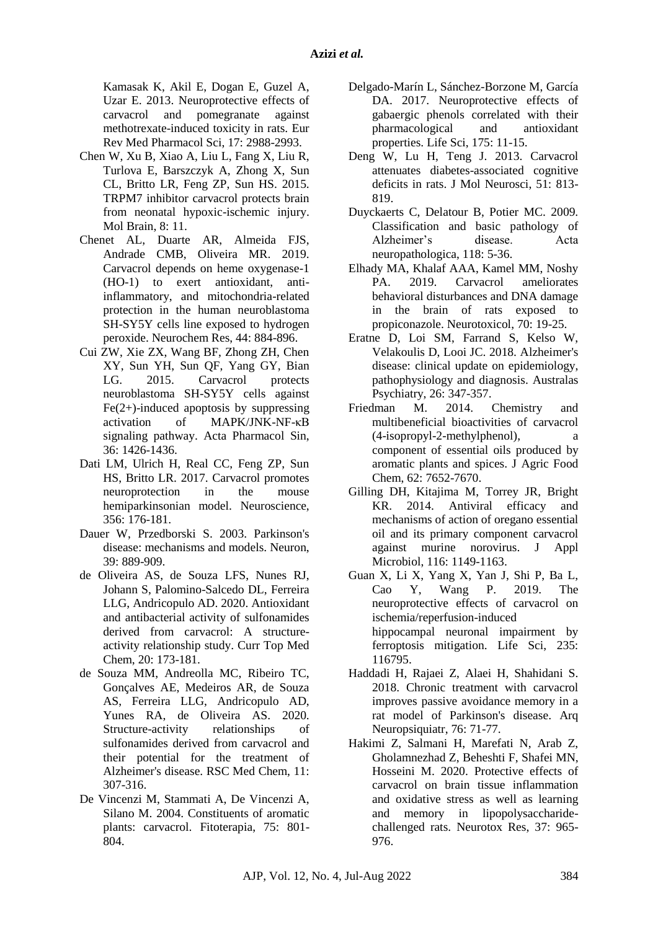Kamasak K, Akil E, Dogan E, Guzel A, Uzar E. 2013. Neuroprotective effects of carvacrol and pomegranate against methotrexate-induced toxicity in rats. Eur Rev Med Pharmacol Sci, 17: 2988-2993.

- Chen W, Xu B, Xiao A, Liu L, Fang X, Liu R, Turlova E, Barszczyk A, Zhong X, Sun CL, Britto LR, Feng ZP, Sun HS. 2015. TRPM7 inhibitor carvacrol protects brain from neonatal hypoxic-ischemic injury. Mol Brain, 8: 11.
- Chenet AL, Duarte AR, Almeida FJS, Andrade CMB, Oliveira MR. 2019. Carvacrol depends on heme oxygenase-1 (HO-1) to exert antioxidant, antiinflammatory, and mitochondria-related protection in the human neuroblastoma SH-SY5Y cells line exposed to hydrogen peroxide. Neurochem Res, 44: 884-896.
- Cui ZW, Xie ZX, Wang BF, Zhong ZH, Chen XY, Sun YH, Sun QF, Yang GY, Bian LG. 2015. Carvacrol protects neuroblastoma SH-SY5Y cells against  $Fe(2+)$ -induced apoptosis by suppressing activation of MAPK/JNK-NF-κB signaling pathway. Acta Pharmacol Sin, 36: 1426-1436.
- Dati LM, Ulrich H, Real CC, Feng ZP, Sun HS, Britto LR. 2017. Carvacrol promotes neuroprotection in the mouse hemiparkinsonian model. Neuroscience, 356: 176-181.
- Dauer W, Przedborski S. 2003. Parkinson's disease: mechanisms and models. Neuron, 39: 889-909.
- de Oliveira AS, de Souza LFS, Nunes RJ, Johann S, Palomino-Salcedo DL, Ferreira LLG, Andricopulo AD. 2020. Antioxidant and antibacterial activity of sulfonamides derived from carvacrol: A structureactivity relationship study. Curr Top Med Chem, 20: 173-181.
- de Souza MM, Andreolla MC, Ribeiro TC, Gonçalves AE, Medeiros AR, de Souza AS, Ferreira LLG, Andricopulo AD, Yunes RA, de Oliveira AS. 2020. Structure-activity relationships of sulfonamides derived from carvacrol and their potential for the treatment of Alzheimer's disease. RSC Med Chem, 11: 307-316.
- De Vincenzi M, Stammati A, De Vincenzi A, Silano M. 2004. Constituents of aromatic plants: carvacrol. Fitoterapia, 75: 801- 804.
- Delgado-Marín L, Sánchez-Borzone M, García DA. 2017. Neuroprotective effects of gabaergic phenols correlated with their pharmacological and antioxidant properties. Life Sci, 175: 11-15.
- Deng W, Lu H, Teng J. 2013. Carvacrol attenuates diabetes-associated cognitive deficits in rats. J Mol Neurosci, 51: 813- 819.
- Duyckaerts C, Delatour B, Potier MC. 2009. Classification and basic pathology of Alzheimer's disease. Acta neuropathologica, 118: 5-36.
- Elhady MA, Khalaf AAA, Kamel MM, Noshy PA. 2019. Carvacrol ameliorates behavioral disturbances and DNA damage in the brain of rats exposed to propiconazole. Neurotoxicol, 70: 19-25.
- Eratne D, Loi SM, Farrand S, Kelso W, Velakoulis D, Looi JC. 2018. Alzheimer's disease: clinical update on epidemiology, pathophysiology and diagnosis. Australas Psychiatry, 26: 347-357.
- Friedman M. 2014. Chemistry and multibeneficial bioactivities of carvacrol (4-isopropyl-2-methylphenol), a component of essential oils produced by aromatic plants and spices. J Agric Food Chem, 62: 7652-7670.
- Gilling DH, Kitajima M, Torrey JR, Bright KR. 2014. Antiviral efficacy and mechanisms of action of oregano essential oil and its primary component carvacrol against murine norovirus. J Appl Microbiol, 116: 1149-1163.
- Guan X, Li X, Yang X, Yan J, Shi P, Ba L, Cao Y, Wang P. 2019. The neuroprotective effects of carvacrol on ischemia/reperfusion-induced hippocampal neuronal impairment by ferroptosis mitigation. Life Sci, 235: 116795.
- Haddadi H, Rajaei Z, Alaei H, Shahidani S. 2018. Chronic treatment with carvacrol improves passive avoidance memory in a rat model of Parkinson's disease. Arq Neuropsiquiatr, 76: 71-77.
- Hakimi Z, Salmani H, Marefati N, Arab Z, Gholamnezhad Z, Beheshti F, Shafei MN, Hosseini M. 2020. Protective effects of carvacrol on brain tissue inflammation and oxidative stress as well as learning and memory in lipopolysaccharidechallenged rats. Neurotox Res, 37: 965- 976.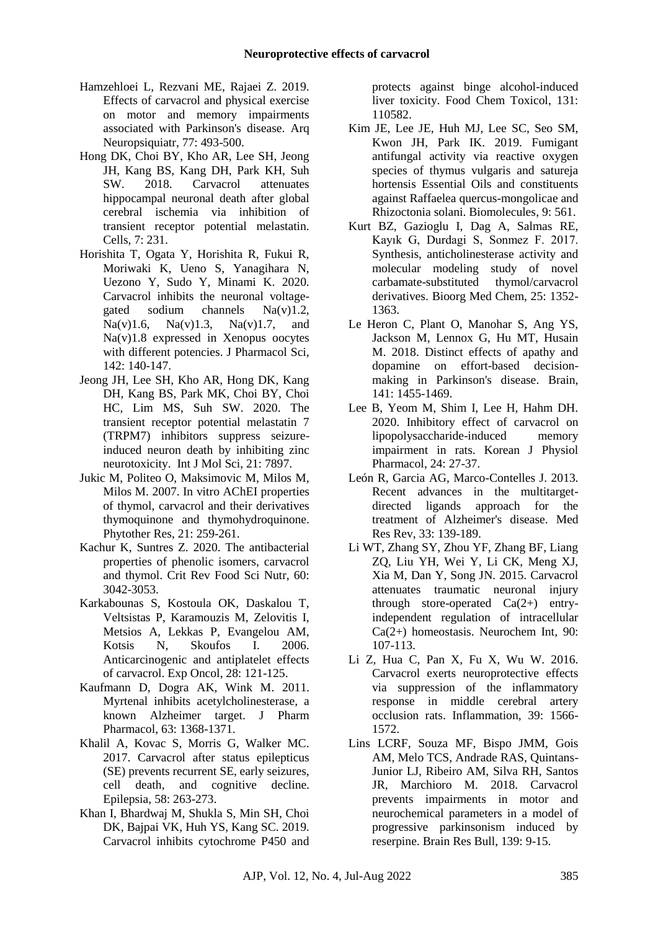- Hamzehloei L, Rezvani ME, Rajaei Z. 2019. Effects of carvacrol and physical exercise on motor and memory impairments associated with Parkinson's disease. Arq Neuropsiquiatr, 77: 493-500.
- Hong DK, Choi BY, Kho AR, Lee SH, Jeong JH, Kang BS, Kang DH, Park KH, Suh SW. 2018. Carvacrol attenuates hippocampal neuronal death after global cerebral ischemia via inhibition of transient receptor potential melastatin. Cells, 7: 231.
- Horishita T, Ogata Y, Horishita R, Fukui R, Moriwaki K, Ueno S, Yanagihara N, Uezono Y, Sudo Y, Minami K. 2020. Carvacrol inhibits the neuronal voltagegated sodium channels Na(v)1.2, Na(v)1.6, Na(v)1.3, Na(v)1.7, and Na(v)1.8 expressed in Xenopus oocytes with different potencies. J Pharmacol Sci, 142: 140-147.
- Jeong JH, Lee SH, Kho AR, Hong DK, Kang DH, Kang BS, Park MK, Choi BY, Choi HC, Lim MS, Suh SW. 2020. The transient receptor potential melastatin 7 (TRPM7) inhibitors suppress seizureinduced neuron death by inhibiting zinc neurotoxicity. Int J Mol Sci, 21: 7897.
- Jukic M, Politeo O, Maksimovic M, Milos M, Milos M. 2007. In vitro AChEI properties of thymol, carvacrol and their derivatives thymoquinone and thymohydroquinone. Phytother Res, 21: 259-261.
- Kachur K, Suntres Z. 2020. The antibacterial properties of phenolic isomers, carvacrol and thymol. Crit Rev Food Sci Nutr, 60: 3042-3053.
- Karkabounas S, Kostoula OK, Daskalou T, Veltsistas P, Karamouzis M, Zelovitis I, Metsios A, Lekkas P, Evangelou AM, Kotsis N, Skoufos I. 2006. Anticarcinogenic and antiplatelet effects of carvacrol. Exp Oncol, 28: 121-125.
- Kaufmann D, Dogra AK, Wink M. 2011. Myrtenal inhibits acetylcholinesterase, a known Alzheimer target. J Pharm Pharmacol, 63: 1368-1371.
- Khalil A, Kovac S, Morris G, Walker MC. 2017. Carvacrol after status epilepticus (SE) prevents recurrent SE, early seizures, cell death, and cognitive decline. Epilepsia, 58: 263-273.
- Khan I, Bhardwaj M, Shukla S, Min SH, Choi DK, Bajpai VK, Huh YS, Kang SC. 2019. Carvacrol inhibits cytochrome P450 and

protects against binge alcohol-induced liver toxicity. Food Chem Toxicol, 131: 110582.

- Kim JE, Lee JE, Huh MJ, Lee SC, Seo SM, Kwon JH, Park IK. 2019. Fumigant antifungal activity via reactive oxygen species of thymus vulgaris and satureja hortensis Essential Oils and constituents against Raffaelea quercus-mongolicae and Rhizoctonia solani. Biomolecules, 9: 561.
- Kurt BZ, Gazioglu I, Dag A, Salmas RE, Kayık G, Durdagi S, Sonmez F. 2017. Synthesis, anticholinesterase activity and molecular modeling study of novel carbamate-substituted thymol/carvacrol derivatives. Bioorg Med Chem, 25: 1352- 1363.
- Le Heron C, Plant O, Manohar S, Ang YS, Jackson M, Lennox G, Hu MT, Husain M. 2018. Distinct effects of apathy and dopamine on effort-based decisionmaking in Parkinson's disease. Brain, 141: 1455-1469.
- Lee B, Yeom M, Shim I, Lee H, Hahm DH. 2020. Inhibitory effect of carvacrol on lipopolysaccharide-induced memory impairment in rats. Korean J Physiol Pharmacol, 24: 27-37.
- León R, Garcia AG, Marco-Contelles J. 2013. Recent advances in the multitargetdirected ligands approach for the treatment of Alzheimer's disease. Med Res Rev, 33: 139-189.
- Li WT, Zhang SY, Zhou YF, Zhang BF, Liang ZQ, Liu YH, Wei Y, Li CK, Meng XJ, Xia M, Dan Y, Song JN. 2015. Carvacrol attenuates traumatic neuronal injury through store-operated  $Ca(2+)$  entryindependent regulation of intracellular Ca(2+) homeostasis. Neurochem Int, 90: 107-113.
- Li Z, Hua C, Pan X, Fu X, Wu W. 2016. Carvacrol exerts neuroprotective effects via suppression of the inflammatory response in middle cerebral artery occlusion rats. Inflammation, 39: 1566- 1572.
- Lins LCRF, Souza MF, Bispo JMM, Gois AM, Melo TCS, Andrade RAS, Quintans-Junior LJ, Ribeiro AM, Silva RH, Santos JR, Marchioro M. 2018. Carvacrol prevents impairments in motor and neurochemical parameters in a model of progressive parkinsonism induced by reserpine. Brain Res Bull, 139: 9-15.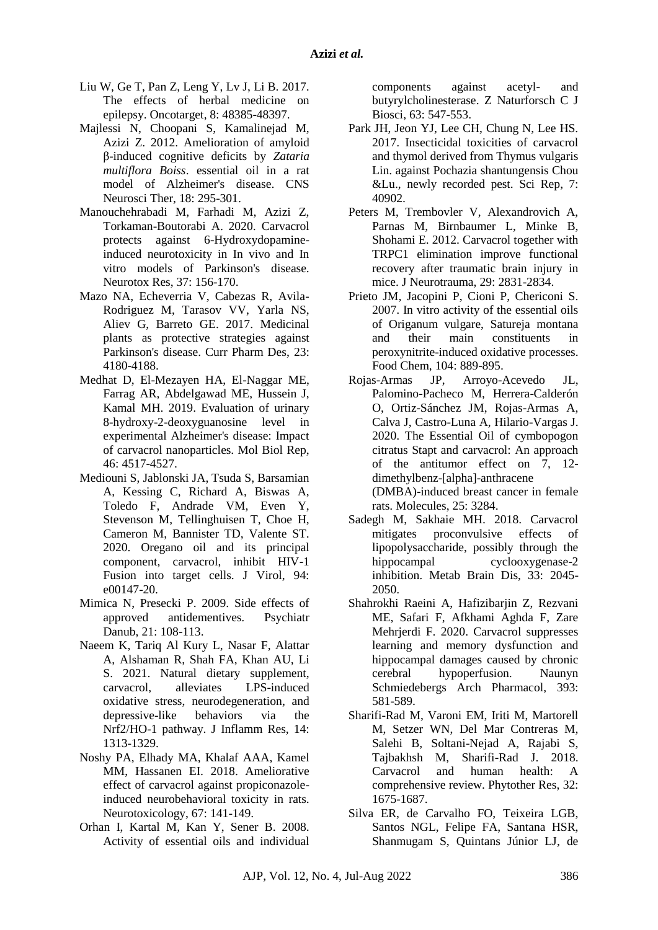- Liu W, Ge T, Pan Z, Leng Y, Lv J, Li B. 2017. The effects of herbal medicine on epilepsy. Oncotarget, 8: 48385-48397.
- Majlessi N, Choopani S, Kamalinejad M, Azizi Z. 2012. Amelioration of amyloid β-induced cognitive deficits by *Zataria multiflora Boiss*. essential oil in a rat model of Alzheimer's disease. CNS Neurosci Ther, 18: 295-301.
- Manouchehrabadi M, Farhadi M, Azizi Z, Torkaman-Boutorabi A. 2020. Carvacrol protects against 6-Hydroxydopamineinduced neurotoxicity in In vivo and In vitro models of Parkinson's disease. Neurotox Res, 37: 156-170.
- Mazo NA, Echeverria V, Cabezas R, Avila-Rodriguez M, Tarasov VV, Yarla NS, Aliev G, Barreto GE. 2017. Medicinal plants as protective strategies against Parkinson's disease. Curr Pharm Des, 23: 4180-4188.
- Medhat D, El-Mezayen HA, El-Naggar ME, Farrag AR, Abdelgawad ME, Hussein J, Kamal MH. 2019. Evaluation of urinary 8-hydroxy-2-deoxyguanosine level in experimental Alzheimer's disease: Impact of carvacrol nanoparticles. Mol Biol Rep, 46: 4517-4527.
- Mediouni S, Jablonski JA, Tsuda S, Barsamian A, Kessing C, Richard A, Biswas A, Toledo F, Andrade VM, Even Y, Stevenson M, Tellinghuisen T, Choe H, Cameron M, Bannister TD, Valente ST. 2020. Oregano oil and its principal component, carvacrol, inhibit HIV-1 Fusion into target cells. J Virol, 94: e00147-20.
- Mimica N, Presecki P. 2009. Side effects of approved antidementives. Psychiatr Danub, 21: 108-113.
- Naeem K, Tariq Al Kury L, Nasar F, Alattar A, Alshaman R, Shah FA, Khan AU, Li S. 2021. Natural dietary supplement, carvacrol, alleviates LPS-induced oxidative stress, neurodegeneration, and depressive-like behaviors via the Nrf2/HO-1 pathway. J Inflamm Res, 14: 1313-1329.
- Noshy PA, Elhady MA, Khalaf AAA, Kamel MM, Hassanen EI. 2018. Ameliorative effect of carvacrol against propiconazoleinduced neurobehavioral toxicity in rats. Neurotoxicology, 67: 141-149.
- Orhan I, Kartal M, Kan Y, Sener B. 2008. Activity of essential oils and individual

components against acetyl- and butyrylcholinesterase. Z Naturforsch C J Biosci, 63: 547-553.

- Park JH, Jeon YJ, Lee CH, Chung N, Lee HS. 2017. Insecticidal toxicities of carvacrol and thymol derived from Thymus vulgaris Lin. against Pochazia shantungensis Chou &Lu., newly recorded pest. Sci Rep, 7: 40902.
- Peters M, Trembovler V, Alexandrovich A, Parnas M, Birnbaumer L, Minke B, Shohami E. 2012. Carvacrol together with TRPC1 elimination improve functional recovery after traumatic brain injury in mice. J Neurotrauma, 29: 2831-2834.
- Prieto JM, Jacopini P, Cioni P, Chericoni S. 2007. In vitro activity of the essential oils of Origanum vulgare, Satureja montana and their main constituents in peroxynitrite-induced oxidative processes. Food Chem, 104: 889-895.
- Rojas-Armas JP, Arroyo-Acevedo JL, Palomino-Pacheco M, Herrera-Calderón O, Ortiz-Sánchez JM, Rojas-Armas A, Calva J, Castro-Luna A, Hilario-Vargas J. 2020. The Essential Oil of cymbopogon citratus Stapt and carvacrol: An approach of the antitumor effect on 7, 12 dimethylbenz-[alpha]-anthracene (DMBA)-induced breast cancer in female rats. Molecules, 25: 3284.
- Sadegh M, Sakhaie MH. 2018. Carvacrol mitigates proconvulsive effects of lipopolysaccharide, possibly through the hippocampal cyclooxygenase-2 inhibition. Metab Brain Dis, 33: 2045- 2050.
- Shahrokhi Raeini A, Hafizibarjin Z, Rezvani ME, Safari F, Afkhami Aghda F, Zare Mehrjerdi F. 2020. Carvacrol suppresses learning and memory dysfunction and hippocampal damages caused by chronic cerebral hypoperfusion. Naunyn Schmiedebergs Arch Pharmacol, 393: 581-589.
- Sharifi-Rad M, Varoni EM, Iriti M, Martorell M, Setzer WN, Del Mar Contreras M, Salehi B, Soltani-Nejad A, Rajabi S, Tajbakhsh M, Sharifi-Rad J. 2018. Carvacrol and human health: A comprehensive review. Phytother Res, 32: 1675-1687.
- Silva ER, de Carvalho FO, Teixeira LGB, Santos NGL, Felipe FA, Santana HSR, Shanmugam S, Quintans Júnior LJ, de